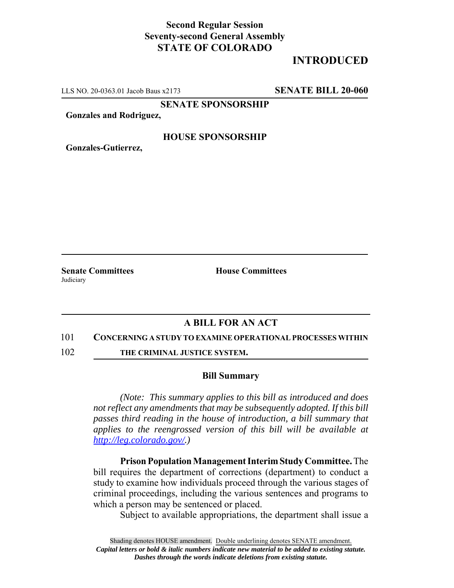# **Second Regular Session Seventy-second General Assembly STATE OF COLORADO**

# **INTRODUCED**

LLS NO. 20-0363.01 Jacob Baus x2173 **SENATE BILL 20-060**

**SENATE SPONSORSHIP**

**Gonzales and Rodriguez,**

### **HOUSE SPONSORSHIP**

**Gonzales-Gutierrez,**

**Judiciary** 

**Senate Committees House Committees** 

## **A BILL FOR AN ACT**

#### 101 **CONCERNING A STUDY TO EXAMINE OPERATIONAL PROCESSES WITHIN**

102 **THE CRIMINAL JUSTICE SYSTEM.**

### **Bill Summary**

*(Note: This summary applies to this bill as introduced and does not reflect any amendments that may be subsequently adopted. If this bill passes third reading in the house of introduction, a bill summary that applies to the reengrossed version of this bill will be available at http://leg.colorado.gov/.)*

**Prison Population Management Interim Study Committee.** The bill requires the department of corrections (department) to conduct a study to examine how individuals proceed through the various stages of criminal proceedings, including the various sentences and programs to which a person may be sentenced or placed.

Subject to available appropriations, the department shall issue a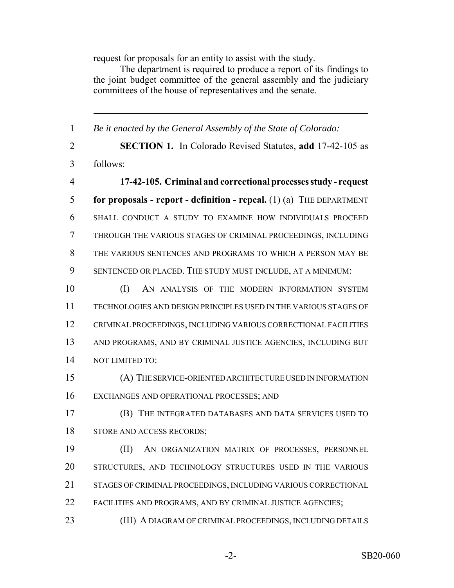request for proposals for an entity to assist with the study.

The department is required to produce a report of its findings to the joint budget committee of the general assembly and the judiciary committees of the house of representatives and the senate.

 *Be it enacted by the General Assembly of the State of Colorado:* **SECTION 1.** In Colorado Revised Statutes, **add** 17-42-105 as follows: **17-42-105. Criminal and correctional processes study - request for proposals - report - definition - repeal.** (1) (a) THE DEPARTMENT SHALL CONDUCT A STUDY TO EXAMINE HOW INDIVIDUALS PROCEED THROUGH THE VARIOUS STAGES OF CRIMINAL PROCEEDINGS, INCLUDING THE VARIOUS SENTENCES AND PROGRAMS TO WHICH A PERSON MAY BE SENTENCED OR PLACED. THE STUDY MUST INCLUDE, AT A MINIMUM: 10 (I) AN ANALYSIS OF THE MODERN INFORMATION SYSTEM TECHNOLOGIES AND DESIGN PRINCIPLES USED IN THE VARIOUS STAGES OF CRIMINAL PROCEEDINGS, INCLUDING VARIOUS CORRECTIONAL FACILITIES AND PROGRAMS, AND BY CRIMINAL JUSTICE AGENCIES, INCLUDING BUT NOT LIMITED TO: (A) THE SERVICE-ORIENTED ARCHITECTURE USED IN INFORMATION EXCHANGES AND OPERATIONAL PROCESSES; AND (B) THE INTEGRATED DATABASES AND DATA SERVICES USED TO STORE AND ACCESS RECORDS; (II) AN ORGANIZATION MATRIX OF PROCESSES, PERSONNEL STRUCTURES, AND TECHNOLOGY STRUCTURES USED IN THE VARIOUS STAGES OF CRIMINAL PROCEEDINGS, INCLUDING VARIOUS CORRECTIONAL FACILITIES AND PROGRAMS, AND BY CRIMINAL JUSTICE AGENCIES; (III) A DIAGRAM OF CRIMINAL PROCEEDINGS, INCLUDING DETAILS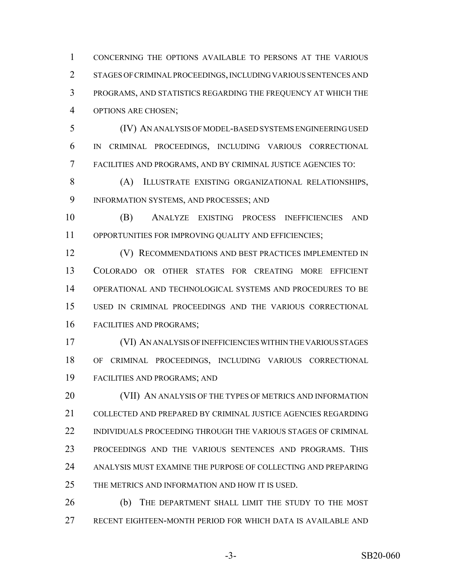CONCERNING THE OPTIONS AVAILABLE TO PERSONS AT THE VARIOUS STAGES OF CRIMINAL PROCEEDINGS, INCLUDING VARIOUS SENTENCES AND PROGRAMS, AND STATISTICS REGARDING THE FREQUENCY AT WHICH THE OPTIONS ARE CHOSEN;

 (IV) AN ANALYSIS OF MODEL-BASED SYSTEMS ENGINEERING USED IN CRIMINAL PROCEEDINGS, INCLUDING VARIOUS CORRECTIONAL FACILITIES AND PROGRAMS, AND BY CRIMINAL JUSTICE AGENCIES TO:

 (A) ILLUSTRATE EXISTING ORGANIZATIONAL RELATIONSHIPS, INFORMATION SYSTEMS, AND PROCESSES; AND

 (B) ANALYZE EXISTING PROCESS INEFFICIENCIES AND OPPORTUNITIES FOR IMPROVING QUALITY AND EFFICIENCIES;

 (V) RECOMMENDATIONS AND BEST PRACTICES IMPLEMENTED IN COLORADO OR OTHER STATES FOR CREATING MORE EFFICIENT OPERATIONAL AND TECHNOLOGICAL SYSTEMS AND PROCEDURES TO BE USED IN CRIMINAL PROCEEDINGS AND THE VARIOUS CORRECTIONAL FACILITIES AND PROGRAMS;

 (VI) AN ANALYSIS OF INEFFICIENCIES WITHIN THE VARIOUS STAGES OF CRIMINAL PROCEEDINGS, INCLUDING VARIOUS CORRECTIONAL FACILITIES AND PROGRAMS; AND

20 (VII) AN ANALYSIS OF THE TYPES OF METRICS AND INFORMATION COLLECTED AND PREPARED BY CRIMINAL JUSTICE AGENCIES REGARDING INDIVIDUALS PROCEEDING THROUGH THE VARIOUS STAGES OF CRIMINAL PROCEEDINGS AND THE VARIOUS SENTENCES AND PROGRAMS. THIS ANALYSIS MUST EXAMINE THE PURPOSE OF COLLECTING AND PREPARING THE METRICS AND INFORMATION AND HOW IT IS USED.

 (b) THE DEPARTMENT SHALL LIMIT THE STUDY TO THE MOST RECENT EIGHTEEN-MONTH PERIOD FOR WHICH DATA IS AVAILABLE AND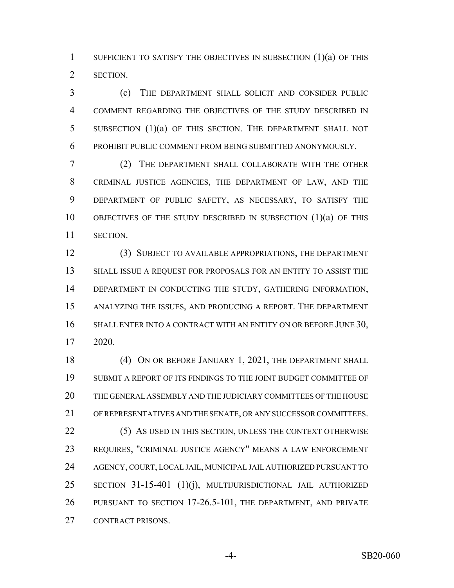1 SUFFICIENT TO SATISFY THE OBJECTIVES IN SUBSECTION (1)(a) OF THIS SECTION.

 (c) THE DEPARTMENT SHALL SOLICIT AND CONSIDER PUBLIC COMMENT REGARDING THE OBJECTIVES OF THE STUDY DESCRIBED IN SUBSECTION (1)(a) OF THIS SECTION. THE DEPARTMENT SHALL NOT PROHIBIT PUBLIC COMMENT FROM BEING SUBMITTED ANONYMOUSLY.

 (2) THE DEPARTMENT SHALL COLLABORATE WITH THE OTHER CRIMINAL JUSTICE AGENCIES, THE DEPARTMENT OF LAW, AND THE DEPARTMENT OF PUBLIC SAFETY, AS NECESSARY, TO SATISFY THE OBJECTIVES OF THE STUDY DESCRIBED IN SUBSECTION (1)(a) OF THIS SECTION.

 (3) SUBJECT TO AVAILABLE APPROPRIATIONS, THE DEPARTMENT SHALL ISSUE A REQUEST FOR PROPOSALS FOR AN ENTITY TO ASSIST THE DEPARTMENT IN CONDUCTING THE STUDY, GATHERING INFORMATION, ANALYZING THE ISSUES, AND PRODUCING A REPORT. THE DEPARTMENT 16 SHALL ENTER INTO A CONTRACT WITH AN ENTITY ON OR BEFORE JUNE 30, 2020.

18 (4) ON OR BEFORE JANUARY 1, 2021, THE DEPARTMENT SHALL SUBMIT A REPORT OF ITS FINDINGS TO THE JOINT BUDGET COMMITTEE OF THE GENERAL ASSEMBLY AND THE JUDICIARY COMMITTEES OF THE HOUSE OF REPRESENTATIVES AND THE SENATE, OR ANY SUCCESSOR COMMITTEES. 22 (5) AS USED IN THIS SECTION, UNLESS THE CONTEXT OTHERWISE REQUIRES, "CRIMINAL JUSTICE AGENCY" MEANS A LAW ENFORCEMENT AGENCY, COURT, LOCAL JAIL, MUNICIPAL JAIL AUTHORIZED PURSUANT TO SECTION 31-15-401 (1)(j), MULTIJURISDICTIONAL JAIL AUTHORIZED PURSUANT TO SECTION 17-26.5-101, THE DEPARTMENT, AND PRIVATE CONTRACT PRISONS.